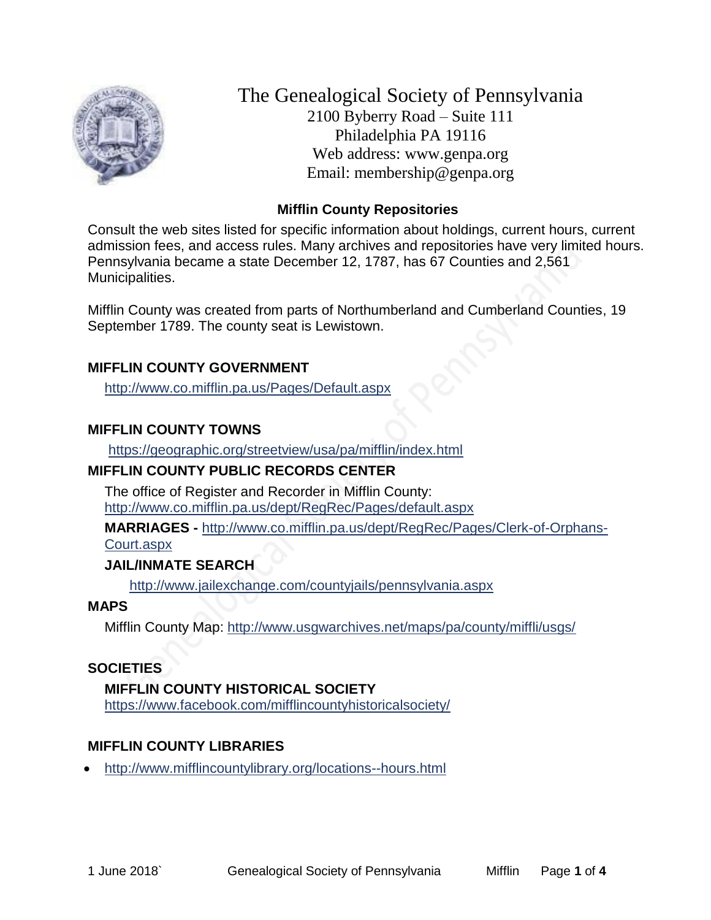

The Genealogical Society of Pennsylvania 2100 Byberry Road – Suite 111 Philadelphia PA 19116 Web address: www.genpa.org Email: membership@genpa.org

### **Mifflin County Repositories**

Consult the web sites listed for specific information about holdings, current hours, current admission fees, and access rules. Many archives and repositories have very limited hours. Pennsylvania became a state December 12, 1787, has 67 Counties and 2,561 Municipalities.

Mifflin County was created from parts of Northumberland and Cumberland Counties, 19 September 1789. The county seat is Lewistown.

### **MIFFLIN COUNTY GOVERNMENT**

<http://www.co.mifflin.pa.us/Pages/Default.aspx>

## **MIFFLIN COUNTY TOWNS**

<https://geographic.org/streetview/usa/pa/mifflin/index.html>

# **MIFFLIN COUNTY PUBLIC RECORDS CENTER**

The office of Register and Recorder in Mifflin County: <http://www.co.mifflin.pa.us/dept/RegRec/Pages/default.aspx>

**MARRIAGES -** [http://www.co.mifflin.pa.us/dept/RegRec/Pages/Clerk-of-Orphans-](http://www.co.mifflin.pa.us/dept/RegRec/Pages/Clerk-of-Orphans-Court.aspx)

[Court.aspx](http://www.co.mifflin.pa.us/dept/RegRec/Pages/Clerk-of-Orphans-Court.aspx)

# **JAIL/INMATE SEARCH**

<http://www.jailexchange.com/countyjails/pennsylvania.aspx>

### **MAPS**

Mifflin County Map: <http://www.usgwarchives.net/maps/pa/county/miffli/usgs/>

### **SOCIETIES**

# **MIFFLIN COUNTY HISTORICAL SOCIETY**

<https://www.facebook.com/mifflincountyhistoricalsociety/>

# **MIFFLIN COUNTY LIBRARIES**

<http://www.mifflincountylibrary.org/locations--hours.html>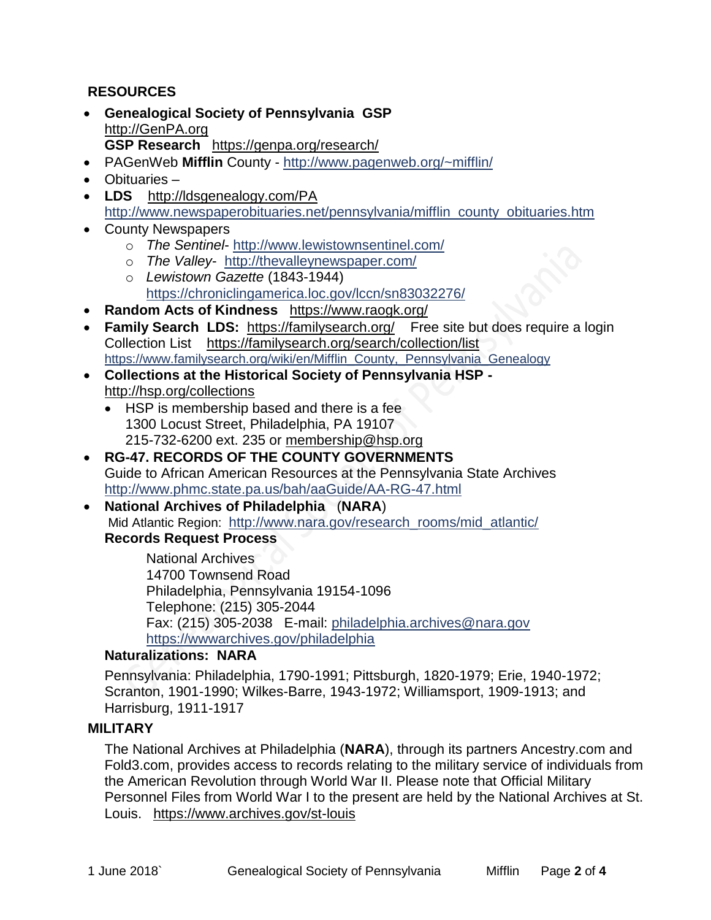## **RESOURCES**

- **Genealogical Society of Pennsylvania GSP** [http://GenPA.org](http://genpa.org/) **GSP Research** <https://genpa.org/research/>
- PAGenWeb **Mifflin** County <http://www.pagenweb.org/~mifflin/>
- Obituaries –
- **LDS** <http://ldsgenealogy.com/PA> [http://www.newspaperobituaries.net/pennsylvania/mifflin\\_county\\_obituaries.htm](http://www.newspaperobituaries.net/pennsylvania/mifflin_county_obituaries.htm)
- County Newspapers
	- o *The Sentinel* <http://www.lewistownsentinel.com/>
	- o *The Valley* <http://thevalleynewspaper.com/>
	- o *Lewistown Gazette* (1843-1944) <https://chroniclingamerica.loc.gov/lccn/sn83032276/>
- **Random Acts of Kindness** <https://www.raogk.org/>
- **Family Search LDS:** <https://familysearch.org/>Free site but does require a login Collection List <https://familysearch.org/search/collection/list> [https://www.familysearch.org/wiki/en/Mifflin\\_County,\\_Pennsylvania\\_Genealogy](https://www.familysearch.org/wiki/en/Mifflin_County,_Pennsylvania_Genealogy)
- **Collections at the Historical Society of Pennsylvania HSP**  <http://hsp.org/collections>
	- HSP is membership based and there is a fee 1300 Locust Street, Philadelphia, PA 19107 215-732-6200 ext. 235 or [membership@hsp.org](mailto:membership@hsp.org)
- **RG-47. RECORDS OF THE COUNTY GOVERNMENTS** Guide to African American Resources at the Pennsylvania State Archives <http://www.phmc.state.pa.us/bah/aaGuide/AA-RG-47.html>
- **National Archives of Philadelphia** (**NARA**) Mid Atlantic Region: [http://www.nara.gov/research\\_rooms/mid\\_atlantic/](http://www.nara.gov/research_rooms/mid_atlantic/) **Records Request Process**

National Archives 14700 Townsend Road Philadelphia, Pennsylvania 19154-1096 Telephone: (215) 305-2044 Fax: (215) 305-2038 E-mail: [philadelphia.archives@nara.gov](mailto:philadelphia.archives@nara.gov) <https://wwwarchives.gov/philadelphia>

#### **Naturalizations: NARA**

Pennsylvania: Philadelphia, 1790-1991; Pittsburgh, 1820-1979; Erie, 1940-1972; Scranton, 1901-1990; Wilkes-Barre, 1943-1972; Williamsport, 1909-1913; and Harrisburg, 1911-1917

### **MILITARY**

The National Archives at Philadelphia (**NARA**), through its partners Ancestry.com and Fold3.com, provides access to records relating to the military service of individuals from the American Revolution through World War II. Please note that Official Military Personnel Files from World War I to the present are held by the National Archives at St. Louis. <https://www.archives.gov/st-louis>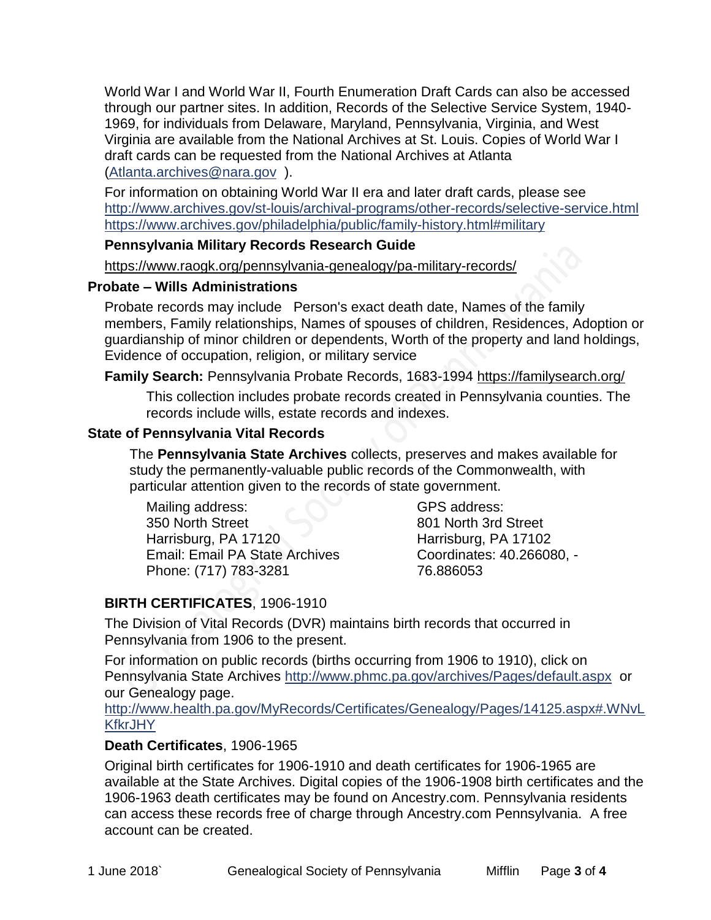World War I and World War II, Fourth Enumeration Draft Cards can also be accessed through our partner sites. In addition, Records of the Selective Service System, 1940- 1969, for individuals from Delaware, Maryland, Pennsylvania, Virginia, and West Virginia are available from the National Archives at St. Louis. Copies of World War I draft cards can be requested from the National Archives at Atlanta [\(Atlanta.archives@nara.gov](mailto:Atlanta.archives@nara.gov) ).

For information on obtaining World War II era and later draft cards, please see <http://www.archives.gov/st-louis/archival-programs/other-records/selective-service.html> <https://www.archives.gov/philadelphia/public/family-history.html#military>

#### **Pennsylvania Military Records Research Guide**

<https://www.raogk.org/pennsylvania-genealogy/pa-military-records/>

#### **Probate – Wills Administrations**

Probate records may include Person's exact death date, Names of the family members, Family relationships, Names of spouses of children, Residences, Adoption or guardianship of minor children or dependents, Worth of the property and land holdings, Evidence of occupation, religion, or military service

### **Family Search:** Pennsylvania Probate Records, 1683-1994 <https://familysearch.org/>

This collection includes probate records created in Pennsylvania counties. The records include wills, estate records and indexes.

### **State of Pennsylvania Vital Records**

The **Pennsylvania State Archives** collects, preserves and makes available for study the permanently-valuable public records of the Commonwealth, with particular attention given to the records of state government.

Mailing address: 350 North Street Harrisburg, PA 17120 Email: Email PA State Archives Phone: (717) 783-3281

GPS address: 801 North 3rd Street Harrisburg, PA 17102 Coordinates: 40.266080, - 76.886053

# **BIRTH CERTIFICATES**, 1906-1910

The Division of Vital Records (DVR) maintains birth records that occurred in Pennsylvania from 1906 to the present.

For information on public records (births occurring from 1906 to 1910), click on Pennsylvania State Archives <http://www.phmc.pa.gov/archives/Pages/default.aspx>or our Genealogy page.

[http://www.health.pa.gov/MyRecords/Certificates/Genealogy/Pages/14125.aspx#.WNvL](http://www.health.pa.gov/MyRecords/Certificates/Genealogy/Pages/14125.aspx#.WNvLKfkrJHY) **[KfkrJHY](http://www.health.pa.gov/MyRecords/Certificates/Genealogy/Pages/14125.aspx#.WNvLKfkrJHY)** 

### **Death Certificates**, 1906-1965

Original birth certificates for 1906-1910 and death certificates for 1906-1965 are available at the State Archives. Digital copies of the 1906-1908 birth certificates and the 1906-1963 death certificates may be found on Ancestry.com. Pennsylvania residents can access these records free of charge through Ancestry.com Pennsylvania. A free account can be created.